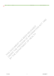THIS DOCUMENT HAS BEEN RELEASED UNDER THE FREEDOM OF HACKER AND DUTCH 1982 BY THE DEPARTMENT OF HEALTH CALL

S ide No. Comment NWoW Position / Comment Stream Lead V C Response / Comment

s22